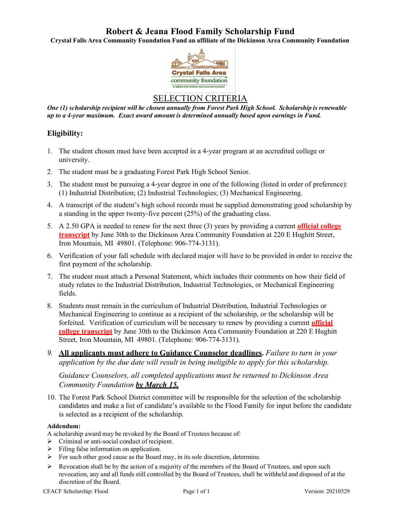# **Robert & Jeana Flood Family Scholarship Fund**

**Crystal Falls Area Community Foundation Fund an affiliate of the Dickinson Area Community Foundation**



## SELECTION CRITERIA

*One (1) scholarship recipient will be chosen annually from Forest Park High School. Scholarship is renewable up to a 4-year maximum. Exact award amount is determined annually based upon earnings in Fund.*

## **Eligibility:**

- 1. The student chosen must have been accepted in a 4-year program at an accredited college or university.
- 2. The student must be a graduating Forest Park High School Senior.
- 3. The student must be pursuing a 4-year degree in one of the following (listed in order of preference): (1) Industrial Distribution; (2) Industrial Technologies; (3) Mechanical Engineering.
- 4. A transcript of the student's high school records must be supplied demonstrating good scholarship by a standing in the upper twenty-five percent (25%) of the graduating class.
- 5. A 2.50 GPA is needed to renew for the next three (3) years by providing a current **official college transcript** by June 30th to the Dickinson Area Community Foundation at 220 E Hughitt Street, Iron Mountain, MI 49801. (Telephone: 906-774-3131).
- 6. Verification of your fall schedule with declared major will have to be provided in order to receive the first payment of the scholarship.
- 7. The student must attach a Personal Statement, which includes their comments on how their field of study relates to the Industrial Distribution, Industrial Technologies, or Mechanical Engineering fields.
- 8. Students must remain in the curriculum of Industrial Distribution, Industrial Technologies or Mechanical Engineering to continue as a recipient of the scholarship, or the scholarship will be forfeited. Verification of curriculum will be necessary to renew by providing a current **official college transcript** by June 30th to the Dickinson Area Community Foundation at 220 E Hughitt Street, Iron Mountain, MI 49801. (Telephone: 906-774-3131).
- *9.* **All applicants must adhere to Guidance Counselor deadlines.** *Failure to turn in your application by the due date will result in being ineligible to apply for this scholarship.*

*Guidance Counselors, all completed applications must be returned to Dickinson Area Community Foundation by March 15.*

10. The Forest Park School District committee will be responsible for the selection of the scholarship candidates and make a list of candidate's available to the Flood Family for input before the candidate is selected as a recipient of the scholarship.

### **Addendum:**

A scholarship award may be revoked by the Board of Trustees because of:

- $\triangleright$  Criminal or anti-social conduct of recipient.
- $\triangleright$  Filing false information on application.
- $\triangleright$  For such other good cause as the Board may, in its sole discretion, determine.
- $\triangleright$  Revocation shall be by the action of a majority of the members of the Board of Trustees, and upon such revocation, any and all funds still controlled by the Board of Trustees, shall be withheld and disposed of at the discretion of the Board.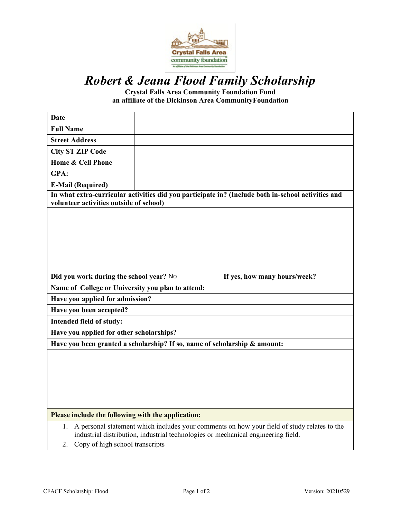

# *Robert & Jeana Flood Family Scholarship*

**Crystal Falls Area Community Foundation Fund an affiliate of the Dickinson Area Community Foundation** 

| <b>Date</b>                                                                                                                                                                                                                     |                                                                           |                              |  |  |
|---------------------------------------------------------------------------------------------------------------------------------------------------------------------------------------------------------------------------------|---------------------------------------------------------------------------|------------------------------|--|--|
| <b>Full Name</b>                                                                                                                                                                                                                |                                                                           |                              |  |  |
| <b>Street Address</b>                                                                                                                                                                                                           |                                                                           |                              |  |  |
| <b>City ST ZIP Code</b>                                                                                                                                                                                                         |                                                                           |                              |  |  |
| Home & Cell Phone                                                                                                                                                                                                               |                                                                           |                              |  |  |
| GPA:                                                                                                                                                                                                                            |                                                                           |                              |  |  |
| <b>E-Mail (Required)</b>                                                                                                                                                                                                        |                                                                           |                              |  |  |
| In what extra-curricular activities did you participate in? (Include both in-school activities and<br>volunteer activities outside of school)                                                                                   |                                                                           |                              |  |  |
|                                                                                                                                                                                                                                 |                                                                           |                              |  |  |
| Did you work during the school year? No                                                                                                                                                                                         |                                                                           | If yes, how many hours/week? |  |  |
| Name of College or University you plan to attend:                                                                                                                                                                               |                                                                           |                              |  |  |
| Have you applied for admission?                                                                                                                                                                                                 |                                                                           |                              |  |  |
| Have you been accepted?                                                                                                                                                                                                         |                                                                           |                              |  |  |
| Intended field of study:                                                                                                                                                                                                        |                                                                           |                              |  |  |
| Have you applied for other scholarships?                                                                                                                                                                                        |                                                                           |                              |  |  |
|                                                                                                                                                                                                                                 | Have you been granted a scholarship? If so, name of scholarship & amount: |                              |  |  |
|                                                                                                                                                                                                                                 |                                                                           |                              |  |  |
| Please include the following with the application:                                                                                                                                                                              |                                                                           |                              |  |  |
| A personal statement which includes your comments on how your field of study relates to the<br>1.<br>industrial distribution, industrial technologies or mechanical engineering field.<br>Copy of high school transcripts<br>2. |                                                                           |                              |  |  |